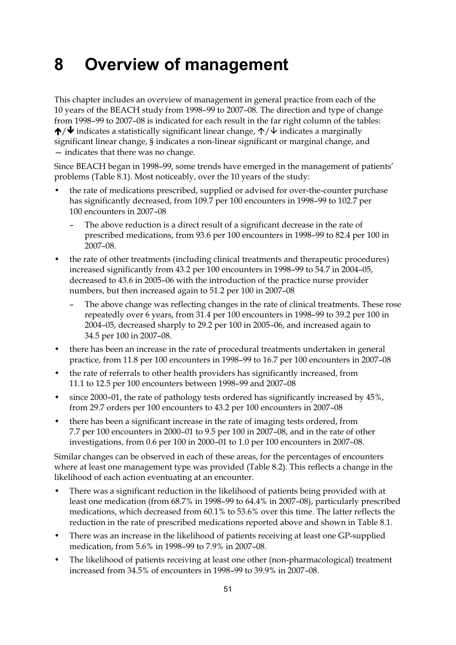## **8 Overview of management**

This chapter includes an overview of management in general practice from each of the 10 years of the BEACH study from 1998–99 to 2007–08. The direction and type of change from 1998–99 to 2007–08 is indicated for each result in the far right column of the tables:  $\bigwedge/\bigvee$  indicates a statistically significant linear change,  $\bigwedge/\bigvee$  indicates a marginally significant linear change, § indicates a non-linear significant or marginal change, and — indicates that there was no change.

Since BEACH began in 1998–99, some trends have emerged in the management of patients' problems (Table 8.1). Most noticeably, over the 10 years of the study:

- the rate of medications prescribed, supplied or advised for over-the-counter purchase has significantly decreased, from 109.7 per 100 encounters in 1998–99 to 102.7 per 100 encounters in 2007–08
	- The above reduction is a direct result of a significant decrease in the rate of prescribed medications, from 93.6 per 100 encounters in 1998–99 to 82.4 per 100 in 2007–08.
- the rate of other treatments (including clinical treatments and therapeutic procedures) increased significantly from 43.2 per 100 encounters in 1998–99 to 54.7 in 2004–05, decreased to 43.6 in 2005–06 with the introduction of the practice nurse provider numbers, but then increased again to 51.2 per 100 in 2007–08
	- The above change was reflecting changes in the rate of clinical treatments. These rose repeatedly over 6 years, from 31.4 per 100 encounters in 1998–99 to 39.2 per 100 in 2004–05, decreased sharply to 29.2 per 100 in 2005–06, and increased again to 34.5 per 100 in 2007–08.
- there has been an increase in the rate of procedural treatments undertaken in general practice, from 11.8 per 100 encounters in 1998–99 to 16.7 per 100 encounters in 2007–08
- the rate of referrals to other health providers has significantly increased, from 11.1 to 12.5 per 100 encounters between 1998–99 and 2007–08
- since 2000–01, the rate of pathology tests ordered has significantly increased by 45%, from 29.7 orders per 100 encounters to 43.2 per 100 encounters in 2007–08
- there has been a significant increase in the rate of imaging tests ordered, from 7.7 per 100 encounters in 2000–01 to 9.5 per 100 in 2007–08, and in the rate of other investigations, from 0.6 per 100 in 2000–01 to 1.0 per 100 encounters in 2007–08.

Similar changes can be observed in each of these areas, for the percentages of encounters where at least one management type was provided (Table 8.2). This reflects a change in the likelihood of each action eventuating at an encounter.

- There was a significant reduction in the likelihood of patients being provided with at least one medication (from 68.7% in 1998–99 to 64.4% in 2007–08), particularly prescribed medications, which decreased from 60.1% to 53.6% over this time. The latter reflects the reduction in the rate of prescribed medications reported above and shown in Table 8.1.
- There was an increase in the likelihood of patients receiving at least one GP-supplied medication, from 5.6% in 1998–99 to 7.9% in 2007–08.
- The likelihood of patients receiving at least one other (non-pharmacological) treatment increased from 34.5% of encounters in 1998–99 to 39.9% in 2007–08.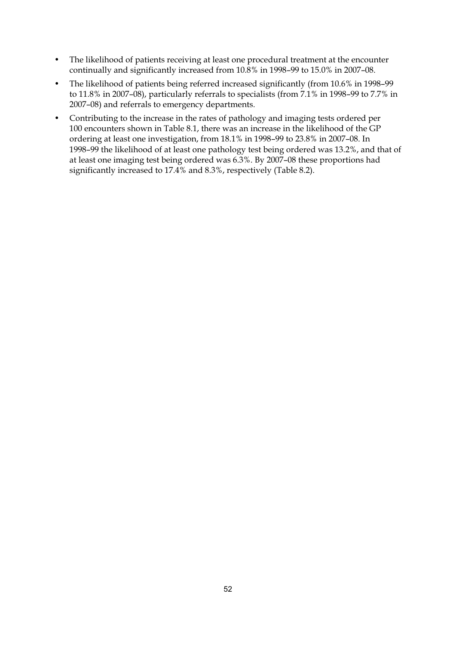- The likelihood of patients receiving at least one procedural treatment at the encounter continually and significantly increased from 10.8% in 1998–99 to 15.0% in 2007–08.
- The likelihood of patients being referred increased significantly (from 10.6% in 1998–99 to 11.8% in 2007–08), particularly referrals to specialists (from 7.1% in 1998–99 to 7.7% in 2007–08) and referrals to emergency departments.
- Contributing to the increase in the rates of pathology and imaging tests ordered per 100 encounters shown in Table 8.1, there was an increase in the likelihood of the GP ordering at least one investigation, from 18.1% in 1998–99 to 23.8% in 2007–08. In 1998–99 the likelihood of at least one pathology test being ordered was 13.2%, and that of at least one imaging test being ordered was 6.3%. By 2007–08 these proportions had significantly increased to 17.4% and 8.3%, respectively (Table 8.2).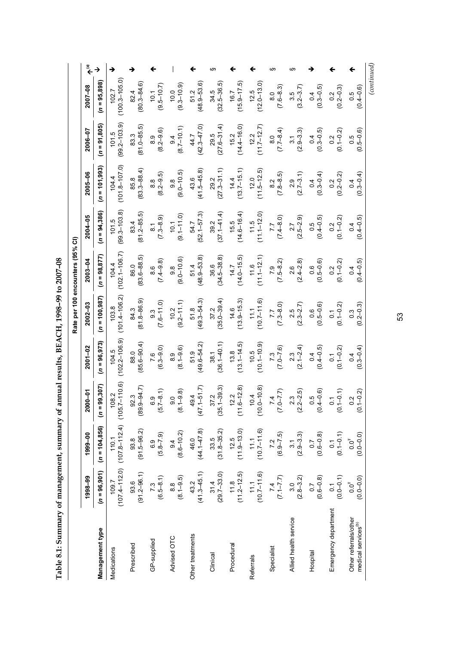| $\sim$ 200 $\sim$<br>ĺ,<br>،<br>ّ<br>こくり ししょうしょ<br>֕ |
|------------------------------------------------------|
| $\vdots$<br>I<br>$\frac{1}{2}$                       |
| I<br>l                                               |

|                                                                                                      |  |                            |                                                   | Rate per 100 encounters (95% CI)   |                           |                                 |                           |                                                                                                                                                                                                                                                                                                                                                                                        |
|------------------------------------------------------------------------------------------------------|--|----------------------------|---------------------------------------------------|------------------------------------|---------------------------|---------------------------------|---------------------------|----------------------------------------------------------------------------------------------------------------------------------------------------------------------------------------------------------------------------------------------------------------------------------------------------------------------------------------------------------------------------------------|
| 2000-01<br>1999-00<br>1998-99                                                                        |  | $2001 - 02$                | $2002 - 03$                                       | $2003 - 04$                        | $2004 - 05$               | $2005 - 06$                     | 2006-07                   | $\begin{picture}(20,5) \put(0,0){\vector(0,1){10}} \put(15,0){\vector(0,1){10}} \put(15,0){\vector(0,1){10}} \put(15,0){\vector(0,1){10}} \put(15,0){\vector(0,1){10}} \put(15,0){\vector(0,1){10}} \put(15,0){\vector(0,1){10}} \put(15,0){\vector(0,1){10}} \put(15,0){\vector(0,1){10}} \put(15,0){\vector(0,1){10}} \put(15,0){\vector(0,1){10}} \put(15,0){\vector(0,$<br>2007-08 |
| $(n = 99, 307)$<br>$(n = 104, 856)$<br>$(n = 96, 901)$                                               |  | $(n = 96, 973)$            | $(n = 100, 987)$                                  | $(n = 98, 877)$                    | $(n = 94,386)$            | $(n = 101, 993)$                | $(n = 91,805)$            | $(n = 95,898)$                                                                                                                                                                                                                                                                                                                                                                         |
| $109.7$<br>$107.4 - 112.0$ ) $(107.8 - 112.4)$ $(105.7 - 110.6)$                                     |  | $104.5$<br>$(102.2-106.9)$ | $103.8$<br>$(101.4 - 106.2)$                      | $(102.1 - 106.7)$<br>104.4         | $101.5$<br>(99.3–103.8)   | $(101.8 - 107.0)$<br>104.4      | $101.5$<br>(99.2–103.9)   | $(100.3 - 105.0)$<br>102.7                                                                                                                                                                                                                                                                                                                                                             |
| $\begin{array}{c} 92.3 \\ (89.9 - 94.7) \end{array}$<br>$93.8$<br>(91.5–96.2)<br>93.6<br>(91.2–96.1) |  | 88.0<br>(85.6–90.4)        | 84.3<br>(81.8–86.9)                               | $(83.6 - 88.5)$<br>86.0            | $(81.2 - 85.5)$<br>83.4   | $(83.3 - 88.4)$<br>85.8         | $83.3$<br>$(81.0 - 85.5)$ | $(80.3 - 84.6)$<br>82.4                                                                                                                                                                                                                                                                                                                                                                |
| $(5.7 - 8.1)$<br>$(6.8-7.9)$<br>$7.3$<br>(6.5–8.1)                                                   |  | $7.6$<br>(6.3–9.0)         | $(7.6-11.0)$                                      | $(74 - 9.8)$                       | $(7.3 - 8.9)$             | $(8.2 - 9.5)$                   | $(8.2 - 9.6)$             | $10.1$<br>(9.5–10.7)                                                                                                                                                                                                                                                                                                                                                                   |
| $(8.1 - 9.8)$<br>$94$<br>(8.6-10.2)<br>$(8.1 - 9.5)$                                                 |  | $(8.1 - 9.6)$              | $(9.2 - 11.1)$<br>10.2                            | $(9.0 - 10.6)$<br>$9.\overline{8}$ | $(9.1 - 11.0)$<br>10.1    | $(9.0 - 10.5)$<br>$\frac{8}{9}$ | $(8.7-10.1)$              | $(9.3 - 10.9)$<br>10.0                                                                                                                                                                                                                                                                                                                                                                 |
| $49.4$<br>(47.1–51.7)<br>$46.0$<br>$(44.1 - 47.8)$<br>$43.2$<br>$(41.3-45.1)$                        |  | 51.9<br>(49.6–54.2)        | 51.8<br>(49.3–54.3)                               | 51.4<br>(48.9–53.8)                | 54.7<br>(52.1–57.3)       | $(41.5 - 45.8)$<br>43.6         | $44.7$<br>$(42.3 - 47.0)$ | 51.2<br>(48.9–53.6)                                                                                                                                                                                                                                                                                                                                                                    |
| $37.2$<br>(35.1–39.3)<br>$33.5$<br>(31.8–35.2)<br>$31.4$<br>(29.7–33.0)                              |  | $38.1$<br>$(36.1 - 40.1)$  | $37.2$<br>(35.0–39.4)                             | $(34.5 - 38.8)$<br>36.6            | $39.2$<br>$(37.1-41.4)$   | $29.2$<br>$(27.3-31.1)$         | $29.5$<br>$(27.6-31.4)$   | $(32.5 - 36.5)$<br>34.5                                                                                                                                                                                                                                                                                                                                                                |
| $12.2$<br>(11.6–12.8)<br>$12.5$<br>(11.9–13.0)<br>$118$<br>$(11.2-12.5)$                             |  | $(13.1 - 14.5)$            | $14.6$<br>(13.9–15.3)                             | $14.7$<br>(14.0–15.5)              | $15.5$<br>$(14.6 - 16.4)$ | $14.4$<br>(13.7–15.1)           | $15.2$<br>$(14.4-16.0)$   | $(15.9 - 17.5)$<br>16.7                                                                                                                                                                                                                                                                                                                                                                |
| $10.4$<br>$(10.0-10.8)$<br>$11.1$<br>(10.7–11.6)<br>$11.1$<br>(10.7–11.6)                            |  | $10.5$<br>$(10.1-10.9)$    | $(10.7 - 11.6)$                                   | $11.6$<br>$(11.1-12.1)$            | $11.5$<br>$(11.1-12.0)$   | $(11.5-12.5)$                   | $12.2$<br>(11.7–12.7)     | $(12.0 - 13.0)$<br>12.5                                                                                                                                                                                                                                                                                                                                                                |
| $(2.2 - 0.2)$<br>$7.2$<br>(6.9–7.5)<br>$(7.7-1.7)$                                                   |  | $(7.0 - 7.6)$              | $(7.3 - 8.0)$                                     | $7.9$<br>$(7.5-8.2)$               | $(0.8-7.7)$               | $(7.8 - 8.5)$                   | $(7.7 - 8.4)$             | $(7.6 - 8.3)$                                                                                                                                                                                                                                                                                                                                                                          |
| $(2.2 - 2.5)$<br>$\begin{array}{c} 3.1 \\ (2.9 - 3.3) \end{array}$<br>$(2.8-3.2)$                    |  | $(2.1 - 2.4)$              | $2.5$<br>(2.3–2.7)                                | $(2.4 - 2.8)$                      | $2.7$<br>$(2.5-2.9)$      | $(2.7 - 3.1)$                   | $(2.9 - 3.3)$             | $3.5$<br>(3.2-3.7)                                                                                                                                                                                                                                                                                                                                                                     |
| $0.5$<br>$(0.4 - 0.6)$<br>$(0.6 - 0.8)$<br>$(0.6 - 0.8)$                                             |  | $(0.4 - 0.5)$              | $(0.5 - 0.6)$                                     | $(0.5 - 0.6)$                      | $0.5$<br>$(0.4 - 0.5)$    | $(0.3 - 0.4)$                   | $(0.3 - 0.5)$             | $(0.3 - 0.5)$<br>0.4                                                                                                                                                                                                                                                                                                                                                                   |
| $0.1$<br>(0.1-0.1)<br>$0.1$<br>(0.1-0.1)<br>$0.1$<br>(0.0-0.1)                                       |  | $0.1$<br>(0.1-0.2)         | $0.1$<br>(0.1-0.2)                                | $0.2$<br>(0.1-0.2)                 | $0.2$<br>(0.1-0.2)        | $0.2$<br>(0.2–0.2)              | $0.2$<br>(0.1-0.2)        | $\begin{array}{c} 0.2 \\ (0.2{\rm -}0.3) \end{array}$                                                                                                                                                                                                                                                                                                                                  |
| $0.2$<br>(0.1-0.2)<br>$0.0^{T}$<br>(0.0–0.0)<br>$0.0^{T}$<br>(0.0–0.0)                               |  | $(0.3 - 0.4)$              | $\begin{array}{c} 0.3 \\ (0.2 - 0.3) \end{array}$ | $0.4$<br>(0.4–0.5)                 | $0.4$<br>(0.4–0.5)        | $0.4$<br>(0.3–0.4)              | $(0.5 - 0.6)$             | $0.5$<br>$(0.4 - 0.6)$                                                                                                                                                                                                                                                                                                                                                                 |

53

*(continued)*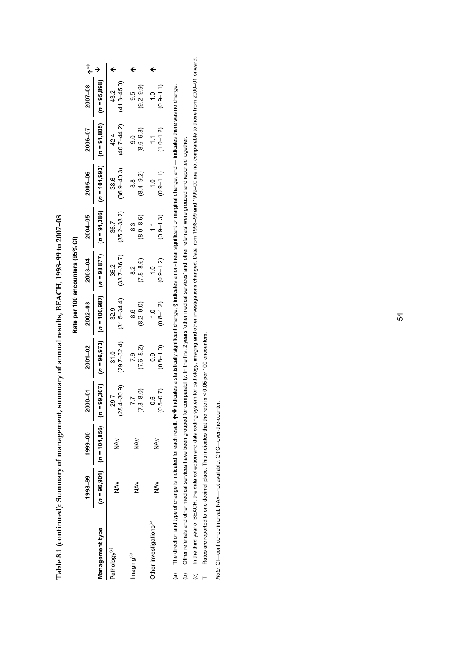|                                     |               |                                         |                            |                         | Rate per 100 encounters (95% CI)                 |                              |                                |                                 |                               |                                |  |
|-------------------------------------|---------------|-----------------------------------------|----------------------------|-------------------------|--------------------------------------------------|------------------------------|--------------------------------|---------------------------------|-------------------------------|--------------------------------|--|
|                                     | 1998-99       | 1999-00                                 | 2000-01                    | 2001-02                 | 2002-03                                          | 2003-04                      | 2004-05                        | $2005 - 06$                     | 2006-07                       | 2007-08                        |  |
| Management type                     |               | $(n = 96,901)$ $(n = 104,856)$ $(n = 9$ | 9,307                      |                         | $(n = 96, 973)$ $(n = 100, 987)$ $(n = 98, 877)$ |                              |                                | $(n = 94,386)$ $(n = 101,993)$  | $(n = 91,805)$ $(n = 95,898)$ |                                |  |
| Pathology <sup>(c)</sup>            | ≷<br>Z        | N<br>N                                  | $(-30.9)$<br>29.7<br>(28.4 | $(29.7 - 32.4)$<br>31.0 | $(31.5 - 34.4)$<br>32.9                          | $(33.7 - 36.7)$<br>35.2      | $(35.2 - 38.2)$<br>36.7        | $(36.9 - 40.3)$<br>38.6         | $(40.7 - 44.2)$<br>42.4       | $(41.3 - 45.0)$<br>43.2        |  |
| maging <sup>(c)</sup>               | $\frac{2}{2}$ | $\tilde{\mathfrak{F}}$                  | $7.3 - 8.0$                | $7.6 - 8.2$<br>7.9      | $(0.6 - 2.8)$<br>8.6                             | $7.8 - 8.6$<br>$\frac{2}{8}$ | $(8.0 - 8.6)$<br>8.3           | $(8.4 - 9.2)$<br>8.8            | $(8.6 - 9.3)$<br>9.0          | $(9.2 - 9.9)$<br>9.5           |  |
| Other investigations <sup>(c)</sup> | ≷<br>N<br>Z   | NAV                                     | $(0.5 - 0.7)$<br>ဖ         | $(0.8 - 1.0)$<br>0.9    | $(0.8 - 1.2)$<br>$\frac{0}{1}$                   | $0.9 - 1.2$<br>$\frac{1}{1}$ | $(0.9 - 1.3)$<br>$\frac{1}{1}$ | $(0.9 - 1.1)$<br>$\frac{10}{1}$ | $(1.0 - 1.2)$<br>1.1          | $(0.9 - 1.1)$<br>$\frac{0}{1}$ |  |

**Table 8.1 (continued): Summary of management, summary of annual results, BEACH, 1998–99 to 2007–08**  Table 8.1 (continued): Summary of management, summary of annual results, BEACH, 1998-99 to 2007-08

 $\bm{\psi}$  indicates a statistically significant change, § indicates a non-linear significant or marginal change, and — indicates there was no change. The direction and type of change is indicated for each result:  $\Lambda\!\!\!\!\Lambda\black!\!\!\Lambda$  indicates a statistically significant change, § indicates a non-linear significant or marginal change, and — indicates there was no change. (a) The direction and type of change is indicated for each result:  $\spadesuit$ 

(b) Other referrals and other medical services have been grouped for comparability. In the first 2 years 'other medical services' and 'other referrals' were grouped and reported together. Other referrals and other medical services have been grouped for comparability. In the first 2 years 'other medical services' and 'other referrals' were grouped and reported together.  $\widehat{\mathfrak{g}}$   $\widehat{\mathfrak{g}}$   $\widehat{\mathfrak{g}}$ 

(c) In the third year of BEACH, the data collection and data coding system for pathology, imaging and other investigations changed. Data from 1998–99 and 1999–00 are not comparable to those from 2000–01 onward. In the third year of BEACH, the data collection and data coding system for pathology, imaging and other investigations changed. Data from 1998-99 and 1999-00 are not comparable to those from 2000-01 onward.

Rates are reported to one decimal place. This indicates that the rate is < 0.05 per 100 encounters. Rates are reported to one decimal place. This indicates that the rate is < 0.05 per 100 encounters. -

*Note:* CI—confidence interval; NAv—not available; OTC—over-the-counter. Note: CI-confidence interval; NAv-not available; OTC-over-the-counter.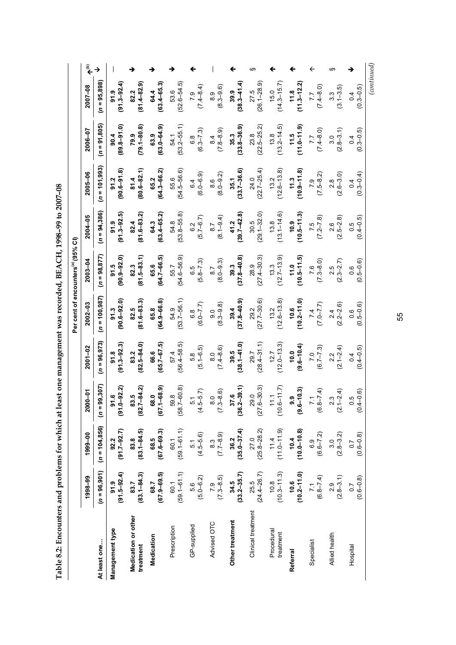Table 8.2: Encounters and problems for which at least one management was recorded, BEACH, 1998-99 to 2007-08 **Table 8.2: Encounters and problems for which at least one management was recorded, BEACH, 1998–99 to 2007–08** 

|                                                | مٌ          | $\rightarrow$        |                           |                                  |                         |                         |                                                   |                                 |                           | m                         |                           |                         | ←                    | ဖာ                    |                                   |
|------------------------------------------------|-------------|----------------------|---------------------------|----------------------------------|-------------------------|-------------------------|---------------------------------------------------|---------------------------------|---------------------------|---------------------------|---------------------------|-------------------------|----------------------|-----------------------|-----------------------------------|
|                                                | 2007-08     | $(n = 95,898)$       | $(91.3 - 92.4)$<br>91.9   | $(81.4 - 82.9)$<br>82.2          | $(63.4 - 65.3)$<br>64.4 | $(52.6 - 54.5)$<br>53.6 | $(7.4 - 8.4)$                                     | $(8.3 - 9.6)$                   | $(38.3 - 41.4)$<br>39.9   | $(26.1 - 28.9)$<br>27.5   | $(14.3 - 15.7)$<br>15.0   | $(11.3 - 12.2)$<br>11.8 | $(7.4 - 8.0)$        | $(3.1 - 3.5)$         | $(0.3 - 0.5)$                     |
|                                                | 2006-07     | $(n = 91,805)$       | $(89.8 - 91.0)$<br>90.4   | $(79.1 - 80.8)$<br>79.9          | $(63.0 - 64.9)$<br>63.9 | $(53.2 - 55.1)$<br>54.1 | $(6.3 - 7.3)$<br>6.8                              | $(7.8 - 8.9)$<br>$\frac{4}{8}$  | $(33.8 - 36.9)$<br>35.3   | $23.8$<br>$(22.5-25.2)$   | $(13.2 - 14.5)$<br>13.8   | $11.5$<br>$(11.0-11.9)$ | $(7.4 - 8.0)$        | $(2.8 - 3.1)$<br>3.0  | $(0.3 - 0.5)$<br>0.4              |
|                                                | 2005-06     | $(n = 101,993)$      | $(90.6 - 91.8)$<br>91.2   | $(80.6 - 82.1)$<br>81.4          | $(64.3 - 66.2)$<br>65.2 | $(54.5 - 56.6)$<br>55.6 | $6.4$<br>$(6.0-6.9)$                              | $(8.0 - 9.2)$                   | $35.1$<br>$(33.7-36.6)$   | $24.0$<br>$(22.7-25.4)$   | $(12.6 - 13.8)$<br>13.2   | $(10.9 - 11.8)$<br>11.3 | $7.9$<br>$(7.5-8.2)$ | $2.8$<br>$(2.6-3.0)$  | $(0.3 - 0.4)$                     |
|                                                | 2004-05     | $(n = 94,386)$       | $(91.3 - 92.5)$<br>91.9   | $(81.6 - 83.2)$<br>82.4          | $(63.4 - 65.2)$<br>64.3 | 54.8<br>(53.8–55.8)     | $6.2$<br>(5.7–6.7)                                | $(8.1 - 9.4)$<br>$\overline{8}$ | $41.2$<br>(39.7–42.8)     | $30.5$<br>$(29.1 - 32.0)$ | $(13.1 - 14.6)$<br>13.8   | $(10.5 - 11.3)$<br>10.9 | $7.5$<br>$(7.2-7.8)$ | $(2.5-2.8)$           | $(0.4 - 0.5)$<br>0.5              |
| Per cent of encounters <sup>(a)</sup> (95% CI) | $2003 - 04$ | $(n = 98, 877)$      | $(90.9 - 92.0)$<br>91.5   | $(81.5 - 83.1)$<br>82.3          | $(64.7 - 66.5)$<br>65.6 | $(54.6 - 56.9)$<br>55.7 | $6.5$<br>$(5.8 - 7.3)$                            | $(8.0 - 9.3)$                   | $(37.8 - 40.8)$<br>39.3   | $28.9$<br>$(27.4 - 30.3)$ | $(12.7 - 13.9)$<br>13.3   | $(10.5 - 11.5)$         | $7.6$<br>$(7.3-8.0)$ | $(2.5$<br>$(2.3-2.7)$ | $(0.5-0.6)$                       |
|                                                | $2002 - 03$ | $(n = 100, 987)$     | $91.3$<br>(90.6–92.0)     | $(81.6 - 83.3)$<br>82.5          | $(64.9 - 66.8)$<br>65.8 | 54.9<br>(53.7–56.1)     | $(6.0 - 7.7)$                                     | $(8.3 - 9.8)$<br>9.0            | $(37.8 - 40.9)$<br>39.4   | $29.2$<br>$(27.7-30.6)$   | $(12.6 - 13.8)$<br>13.2   | $(10.2 - 11.0)$<br>10.6 | $(7.5 - 0.7)$        | $(2.2 - 2.6)$         | $(0.5 - 0.6)$<br>0.6              |
|                                                | 2001-02     | $(n = 96, 973)$      | $91.8$<br>$(91.3 - 92.3)$ | $(82.5 - 84.0)$<br>83.2          | $(65.7 - 67.5)$<br>66.6 | $57.4$<br>(56.4–58.5)   | $\begin{array}{c} 5.8 \\ (5.1 - 6.5) \end{array}$ | $(7.4 - 8.6)$                   | $39.5$<br>$(38.1 - 41.0)$ | $29.7$<br>$(28.4-31.1)$   | $12.7$<br>(12.0–13.3)     | $10.0$<br>$(9.6-10.4)$  | $7.0$<br>(6.7–7.3)   | $(2.1 - 2.4)$         | $(0.4 - 0.5)$<br>$\overline{0}$   |
|                                                | 2000-01     | 99,307)<br>$\bar{a}$ | $91.6$<br>$(91.0-92.2)$   | $(82.7 - 84.2)$<br>83.5          | $(67.1 - 68.9)$<br>68.0 | 59.8<br>(58.7–60.8)     | $(4.5-5.7)$                                       | $(7.3 - 8.6)$                   | $37.6$<br>(36.2–39.1)     | $29.0$<br>$(27.6-30.3)$   | $(10.6 - 11.7)$<br>111    | $(9.6 - 10.3)$<br>9.9   | $(6.8 - 7.4)$        | $(2.1 - 2.4)$         | $0.5$<br>$(0.4-0.6)$              |
|                                                | 1999-00     | $(n = 104, 856)$     | $(91.7 - 92.7)$<br>92.2   | $(83.1 - 84.5)$<br>83.8          | $68.5$<br>$(67.6-69.3)$ | $(59.1 - 61.1)$<br>60.1 | $(4.5 - 5.6)$<br>5.1                              | $(7.7 - 8.9)$                   | $(35.0 - 37.4)$<br>36.2   | $27.0$<br>$(25.8-28.2)$   | $(11.0 - 11.9)$           | $(10.0 - 10.8)$<br>10.4 | $(6.6 - 7.2)$<br>6.9 | $(2.8 - 3.2)$<br>3.0  | $(0.6 - 0.8)$<br>$\overline{0.7}$ |
|                                                | 1998-99     | $(n = 96, 901)$      | $91.9$<br>(91.5–92.4)     | $(83.1 - 84.3)$<br>83.7          | $(67.9 - 69.5)$<br>68.7 | $(59.1 - 61.1)$<br>60.1 | $5.6$<br>$(5.0 - 6.2)$                            | $7.9$<br>$(7.3 - 8.5)$          | $(33.2 - 35.7)$<br>34.5   | $(24.4 - 26.7)$<br>25.5   | $10.8$<br>$(10.3 - 11.3)$ | $(10.2 - 11.0)$<br>10.6 | $(6.8 - 7.4)$        | $(2.8-3.1)$           | $(0.6 - 0.8)$<br>$\overline{0}$ . |
|                                                |             | At least one         | Management type           | Medication or other<br>treatment | Medication              | Prescription            | GP-supplied                                       | Advised OTC                     | Other treatment           | Clinical treatment        | Procedural<br>treatment   | Referral                | Specialist           | Allied health         | Hospital                          |

55

*(continued)*